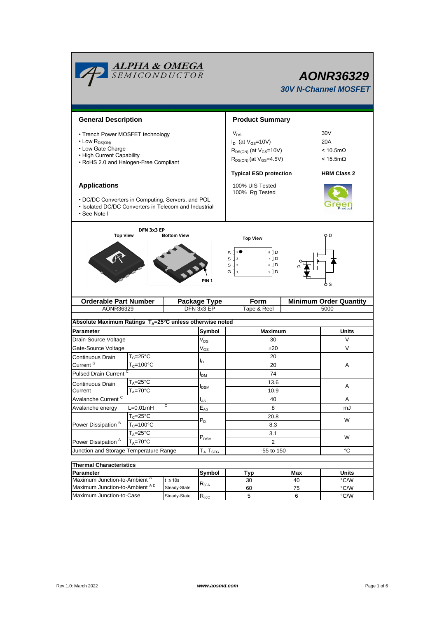|                                                                                                                                                         | <b>ALPHA &amp; OMEGA</b><br>SEMICONDUCTOR |                                   | AONR36329<br><b>30V N-Channel MOSFET</b> |                                                                                                                                              |                 |                                 |                                                                                   |  |  |
|---------------------------------------------------------------------------------------------------------------------------------------------------------|-------------------------------------------|-----------------------------------|------------------------------------------|----------------------------------------------------------------------------------------------------------------------------------------------|-----------------|---------------------------------|-----------------------------------------------------------------------------------|--|--|
|                                                                                                                                                         |                                           | <b>Product Summary</b>            |                                          |                                                                                                                                              |                 |                                 |                                                                                   |  |  |
|                                                                                                                                                         | <b>General Description</b>                |                                   |                                          |                                                                                                                                              |                 |                                 |                                                                                   |  |  |
| • Trench Power MOSFET technology<br>$\cdot$ Low $R_{DS(ON)}$<br>• Low Gate Charge<br>• High Current Capability<br>• RoHS 2.0 and Halogen-Free Compliant |                                           |                                   |                                          | $V_{DS}$<br>$I_D$ (at $V_{GS}$ =10V)<br>$R_{DS(ON)}$ (at $V_{GS}=10V$ )<br>$R_{DS(ON)}$ (at $V_{GS}$ =4.5V)<br><b>Typical ESD protection</b> |                 |                                 | 30V<br>20A<br>$< 10.5 \text{m}\Omega$<br>$<$ 15.5m $\Omega$<br><b>HBM Class 2</b> |  |  |
| <b>Applications</b>                                                                                                                                     |                                           | 100% UIS Tested<br>100% Rg Tested |                                          |                                                                                                                                              |                 |                                 |                                                                                   |  |  |
| • DC/DC Converters in Computing, Servers, and POL<br>• Isolated DC/DC Converters in Telecom and Industrial<br>• See Note I                              |                                           |                                   |                                          |                                                                                                                                              |                 |                                 |                                                                                   |  |  |
| <b>Top View</b>                                                                                                                                         | DFN 3x3 EP                                | <b>Bottom View</b>                |                                          |                                                                                                                                              |                 |                                 | оD                                                                                |  |  |
|                                                                                                                                                         |                                           |                                   |                                          | s<br>sП<br>SЦз<br>G ∏ 4                                                                                                                      | <b>Top View</b> | 8 II D<br>7 I D<br>$6$ D<br>5 D |                                                                                   |  |  |
| <b>Orderable Part Number</b>                                                                                                                            |                                           |                                   | Package Type                             | <b>Form</b>                                                                                                                                  |                 | <b>Minimum Order Quantity</b>   |                                                                                   |  |  |
| AONR36329                                                                                                                                               |                                           |                                   | DFN 3x3 EP                               |                                                                                                                                              | Tape & Reel     |                                 | 5000                                                                              |  |  |
| Absolute Maximum Ratings $T_A = 25^\circ C$ unless otherwise noted                                                                                      |                                           |                                   |                                          |                                                                                                                                              |                 |                                 |                                                                                   |  |  |
| Parameter                                                                                                                                               |                                           |                                   | Symbol                                   |                                                                                                                                              |                 |                                 | Units                                                                             |  |  |
| Drain-Source Voltage                                                                                                                                    |                                           |                                   | $\mathsf{V}_{\mathsf{DS}}$               | <b>Maximum</b><br>30                                                                                                                         |                 |                                 | V                                                                                 |  |  |
| Gate-Source Voltage                                                                                                                                     |                                           |                                   | $\mathsf{V}_{\mathsf{GS}}$               | ±20                                                                                                                                          |                 |                                 | V                                                                                 |  |  |
| $T_c = 25$ °C<br>Continuous Drain                                                                                                                       |                                           |                                   | ı,                                       | 20                                                                                                                                           |                 |                                 |                                                                                   |  |  |
| Current <sup>G</sup>                                                                                                                                    | $T_c = 100$ °C                            |                                   |                                          | 20                                                                                                                                           |                 |                                 | A                                                                                 |  |  |
| <b>Pulsed Drain Current</b>                                                                                                                             |                                           |                                   | I <sub>DM</sub>                          |                                                                                                                                              | 74              |                                 |                                                                                   |  |  |
| Continuous Drain                                                                                                                                        | $T_A = 25^{\circ}C$                       |                                   |                                          |                                                                                                                                              | 13.6            | Α                               |                                                                                   |  |  |
| Current                                                                                                                                                 | $T_A = 70^{\circ}$ C                      |                                   | <b>I</b> DSM                             | 10.9                                                                                                                                         |                 |                                 |                                                                                   |  |  |
| Avalanche Current <sup>C</sup>                                                                                                                          |                                           |                                   | $I_{AS}$                                 |                                                                                                                                              |                 | 40                              | A                                                                                 |  |  |
| С<br>$L=0.01$ mH<br>Avalanche energy                                                                                                                    |                                           |                                   | $E_{AS}$                                 |                                                                                                                                              |                 | 8                               | mJ                                                                                |  |  |
|                                                                                                                                                         | $T_c = 25$ °C                             |                                   | $P_D$                                    |                                                                                                                                              |                 | 20.8                            | W                                                                                 |  |  |
| Power Dissipation <sup>B</sup>                                                                                                                          | $T_c = 100$ °C                            |                                   |                                          | 8.3<br>3.1                                                                                                                                   |                 |                                 |                                                                                   |  |  |
| $T_A = 25$ °C<br>Power Dissipation <sup>A</sup><br>$T_A = 70$ °C                                                                                        |                                           | $\mathsf{P}_\mathsf{DSM}$         |                                          | $\overline{2}$                                                                                                                               | W               |                                 |                                                                                   |  |  |
| Junction and Storage Temperature Range                                                                                                                  |                                           |                                   | $T_J$ , $T_{STG}$                        |                                                                                                                                              | °C              |                                 |                                                                                   |  |  |
|                                                                                                                                                         |                                           |                                   |                                          |                                                                                                                                              |                 | -55 to 150                      |                                                                                   |  |  |
| <b>Thermal Characteristics</b>                                                                                                                          |                                           |                                   |                                          |                                                                                                                                              |                 |                                 |                                                                                   |  |  |
| Parameter<br>Maximum Junction-to-Ambient A                                                                                                              |                                           |                                   | Symbol                                   |                                                                                                                                              | <b>Typ</b>      | Max                             | <b>Units</b>                                                                      |  |  |
| $t \leq 10s$<br>Maximum Junction-to-Ambient AD                                                                                                          |                                           | Steady-State                      | $R_{\theta JA}$                          |                                                                                                                                              | 30<br>60        | 40<br>75                        | °C/W<br>°C/W                                                                      |  |  |
| Maximum Junction-to-Case                                                                                                                                |                                           | Steady-State                      | $R_{\theta JC}$                          |                                                                                                                                              | 5               | 6                               | °C/W                                                                              |  |  |

Г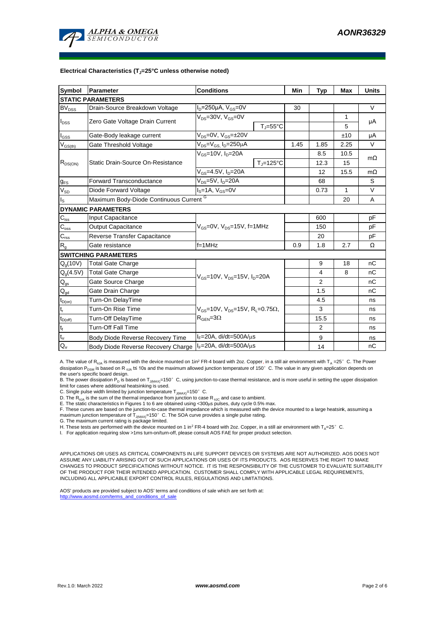

#### **Electrical Characteristics (TJ=25°C unless otherwise noted)**

| <b>Symbol</b>                          | Parameter                               | <b>Conditions</b>                                                                                           |                                | Min  | <b>Typ</b> | <b>Max</b> | <b>Units</b> |  |  |  |  |  |  |
|----------------------------------------|-----------------------------------------|-------------------------------------------------------------------------------------------------------------|--------------------------------|------|------------|------------|--------------|--|--|--|--|--|--|
| <b>STATIC PARAMETERS</b>               |                                         |                                                                                                             |                                |      |            |            |              |  |  |  |  |  |  |
| BV <sub>DSS</sub>                      | Drain-Source Breakdown Voltage          | $I_D = 250 \mu A$ , $V_{GS} = 0V$                                                                           |                                |      |            |            | $\vee$       |  |  |  |  |  |  |
|                                        | Zero Gate Voltage Drain Current         | $V_{DS} = 30V$ , $V_{GS} = 0V$                                                                              |                                |      |            | 1          | μA           |  |  |  |  |  |  |
| $I_{DSS}$                              |                                         |                                                                                                             | $T_{\parallel} = 55^{\circ}$ C |      |            | 5          |              |  |  |  |  |  |  |
| $I_{GSS}$                              | Gate-Body leakage current               | $V_{DS} = 0V$ , $V_{GS} = \pm 20V$                                                                          |                                |      |            | ±10        | μA           |  |  |  |  |  |  |
| $V_{GS(th)}$                           | Gate Threshold Voltage                  | $V_{DS} = V_{GS}$ , $I_D = 250 \mu A$                                                                       |                                | 1.45 | 1.85       | 2.25       | V            |  |  |  |  |  |  |
| $R_{DS(ON)}$                           |                                         | $V_{gs}$ =10V, $I_{p}$ =20A                                                                                 |                                |      | 8.5        | 10.5       | $m\Omega$    |  |  |  |  |  |  |
|                                        | Static Drain-Source On-Resistance       |                                                                                                             | $T = 125^{\circ}C$             |      | 12.3       | 15         |              |  |  |  |  |  |  |
|                                        |                                         | $V_{GS}$ =4.5V, $I_D$ =20A                                                                                  |                                |      | 12         | 15.5       | $m\Omega$    |  |  |  |  |  |  |
| <b>g<sub>FS</sub></b>                  | <b>Forward Transconductance</b>         | $V_{DS} = 5V$ , $I_D = 20A$                                                                                 |                                | 68   |            | S          |              |  |  |  |  |  |  |
| $V_{SD}$                               | Diode Forward Voltage                   | l <sub>s</sub> =1A, V <sub>GS</sub> =0V                                                                     |                                | 0.73 | 1          | $\vee$     |              |  |  |  |  |  |  |
| $I_{\rm S}$                            | Maximum Body-Diode Continuous Current G |                                                                                                             |                                |      | 20         | A          |              |  |  |  |  |  |  |
|                                        | <b>DYNAMIC PARAMETERS</b>               |                                                                                                             |                                |      |            |            |              |  |  |  |  |  |  |
| $C_{\text{iss}}$                       | Input Capacitance                       |                                                                                                             |                                |      | 600        |            | pF           |  |  |  |  |  |  |
| $C_{\rm oss}$                          | <b>Output Capacitance</b>               | $V_{GS}$ =0V, $V_{DS}$ =15V, f=1MHz                                                                         |                                |      | 150        |            | рF           |  |  |  |  |  |  |
| $C_{\rm rss}$                          | Reverse Transfer Capacitance            |                                                                                                             |                                | 20   |            | pF         |              |  |  |  |  |  |  |
| $R_{g}$                                | Gate resistance                         | $f=1$ MHz                                                                                                   |                                | 0.9  | 1.8        | 2.7        | Ω            |  |  |  |  |  |  |
|                                        | <b>SWITCHING PARAMETERS</b>             |                                                                                                             |                                |      |            |            |              |  |  |  |  |  |  |
| $Q_q(10V)$                             | <b>Total Gate Charge</b>                | $V_{GS}$ =10V, $V_{DS}$ =15V, $I_{D}$ =20A                                                                  |                                |      | 9          | 18         | nC           |  |  |  |  |  |  |
| $Q_g(4.5V)$                            | <b>Total Gate Charge</b>                |                                                                                                             |                                |      | 4          | 8          | nC           |  |  |  |  |  |  |
| $\mathsf{Q}_{\mathsf{gs}}$             | Gate Source Charge                      |                                                                                                             |                                |      | 2          |            | nC           |  |  |  |  |  |  |
| $\mathsf{Q}_{\underline{\mathsf{gd}}}$ | Gate Drain Charge                       |                                                                                                             |                                |      | 1.5        |            | nC           |  |  |  |  |  |  |
| $t_{D(on)}$                            | Turn-On DelayTime                       |                                                                                                             |                                |      | 4.5        |            | ns           |  |  |  |  |  |  |
| t,                                     | Turn-On Rise Time                       | $V_{\text{gs}} = 10V$ , $V_{\text{ps}} = 15V$ , $R_{\text{I}} = 0.75\Omega$ ,<br>$R_{\text{GEN}} = 3\Omega$ |                                |      | 3          |            | ns           |  |  |  |  |  |  |
| $t_{D(off)}$                           | Turn-Off DelayTime                      |                                                                                                             |                                |      | 15.5       |            | ns           |  |  |  |  |  |  |
| $\mathsf{t}_{\mathsf{f}}$              | <b>Turn-Off Fall Time</b>               |                                                                                                             |                                |      | 2          |            | ns           |  |  |  |  |  |  |
| $t_{rr}$                               | Body Diode Reverse Recovery Time        | l <sub>F</sub> =20A, di/dt=500A/μs                                                                          |                                |      | 9          |            | ns           |  |  |  |  |  |  |
| $Q_{rr}$                               | Body Diode Reverse Recovery Charge      | $I_F = 20A$ , di/dt=500A/ $\mu$ s                                                                           |                                |      | 14         |            | nC           |  |  |  |  |  |  |

A. The value of R<sub>BJA</sub> is measured with the device mounted on 1in<sup>2</sup> FR-4 board with 2oz. Copper, in a still air environment with T<sub>A</sub> =25°C. The Power dissipation P<sub>DSM</sub> is based on R <sub>0JA</sub> t≤ 10s and the maximum allowed junction temperature of 150°C. The value in any given application depends on the user's specific board design.

B. The power dissipation P<sub>D</sub> is based on T<sub>J(MAX)</sub>=150°C, using junction-to-case thermal resistance, and is more useful in setting the upper dissipation limit for cases where additional heatsinking is used.

C. Single pulse width limited by junction temperature  $T_{J(MAX)}$ =150° C.

D. The  $R_{\theta JA}$  is the sum of the thermal impedance from junction to case R  $_{\theta JC}$  and case to ambient.

E. The static characteristics in Figures 1 to 6 are obtained using <300μs pulses, duty cycle 0.5% max.<br>F. These curves are based on the junction-to-case thermal impedance which is measured with the device mounted to a la maximum junction temperature of  $T_{J(MAX)}$ =150°C. The SOA curve provides a single pulse rating.

G. The maximum current rating is package limited.

H. These tests are performed with the device mounted on 1 in<sup>2</sup> FR-4 board with 2oz. Copper, in a still air environment with T<sub>A</sub>=25°C.

I. For application requiring slow >1ms turn-on/turn-off, please consult AOS FAE for proper product selection.

APPLICATIONS OR USES AS CRITICAL COMPONENTS IN LIFE SUPPORT DEVICES OR SYSTEMS ARE NOT AUTHORIZED. AOS DOES NOT ASSUME ANY LIABILITY ARISING OUT OF SUCH APPLICATIONS OR USES OF ITS PRODUCTS. AOS RESERVES THE RIGHT TO MAKE CHANGES TO PRODUCT SPECIFICATIONS WITHOUT NOTICE. IT IS THE RESPONSIBILITY OF THE CUSTOMER TO EVALUATE SUITABILITY OF THE PRODUCT FOR THEIR INTENDED APPLICATION. CUSTOMER SHALL COMPLY WITH APPLICABLE LEGAL REQUIREMENTS, INCLUDING ALL APPLICABLE EXPORT CONTROL RULES, REGULATIONS AND LIMITATIONS.

AOS' products are provided subject to AOS' terms and conditions of sale which are set forth at: http://www.aosmd.com/terms\_and\_conditions\_of\_sal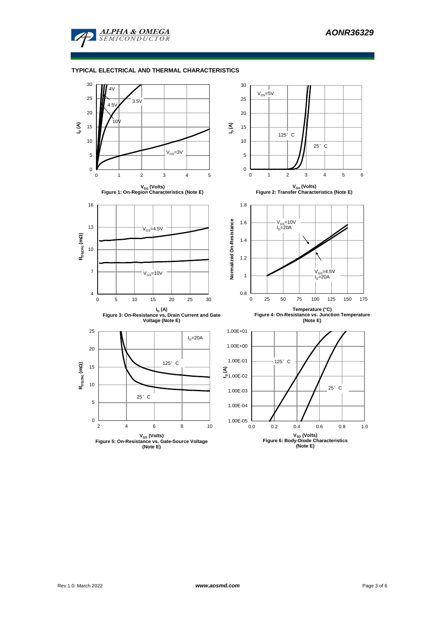

#### **TYPICAL ELECTRICAL AND THERMAL CHARACTERISTICS**

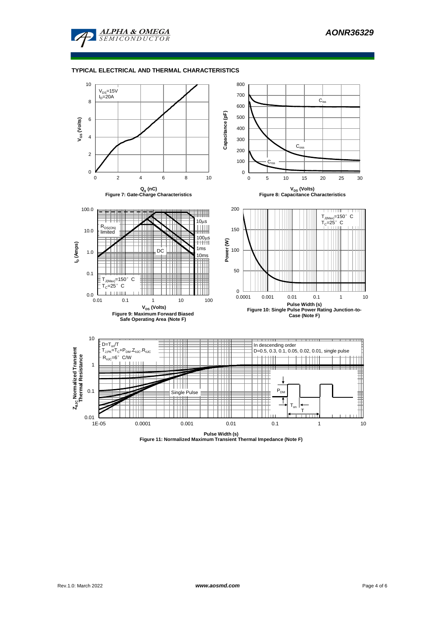

#### **TYPICAL ELECTRICAL AND THERMAL CHARACTERISTICS**



**Pulse Width (s) Figure 11: Normalized Maximum Transient Thermal Impedance (Note F)**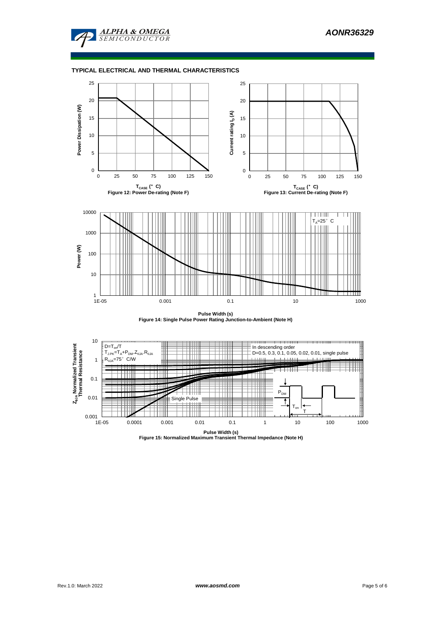

## **TYPICAL ELECTRICAL AND THERMAL CHARACTERISTICS**



**Pulse Width (s) Figure 14: Single Pulse Power Rating Junction-to-Ambient (Note H)**



**Pulse Width (s) Figure 15: Normalized Maximum Transient Thermal Impedance (Note H)**